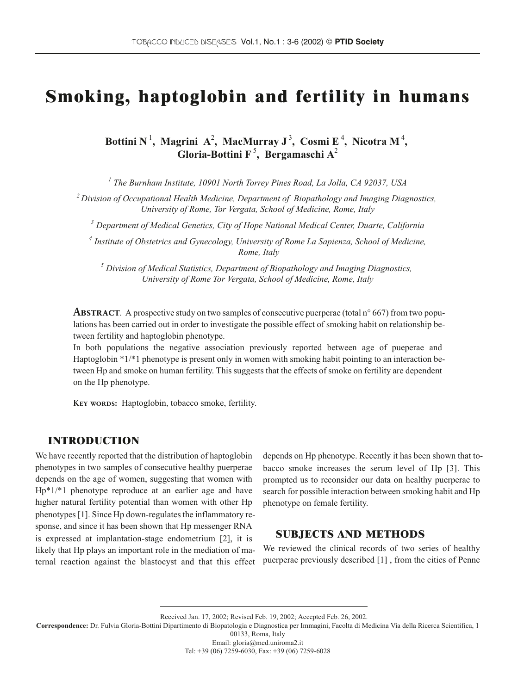# Smoking, haptoglobin and fertility in humans

Bottini N<sup>1</sup>, Magrini A<sup>2</sup>, MacMurray J<sup>3</sup>, Cosmi E<sup>4</sup>, Nicotra M<sup>4</sup>, **Gloria-Bottini F** <sup>5</sup> **, Bergamaschi A**<sup>2</sup>

*<sup>1</sup> The Burnham Institute, 10901 North Torrey Pines Road, La Jolla, CA 92037, USA*

*<sup>2</sup> Division of Occupational Health Medicine, Department of Biopathology and Imaging Diagnostics, University of Rome, Tor Vergata, School of Medicine, Rome, Italy*

*<sup>3</sup> Department of Medical Genetics, City of Hope National Medical Center, Duarte, California*

*<sup>4</sup> Institute of Obstetrics and Gynecology, University of Rome La Sapienza, School of Medicine, Rome, Italy*

*<sup>5</sup> Division of Medical Statistics, Department of Biopathology and Imaging Diagnostics, University of Rome Tor Vergata, School of Medicine, Rome, Italy*

**ABSTRACT.** A prospective study on two samples of consecutive puerperae (total  $n^{\circ}$  667) from two populations has been carried out in order to investigate the possible effect of smoking habit on relationship between fertility and haptoglobin phenotype.

In both populations the negative association previously reported between age of pueperae and Haptoglobin \*1/\*1 phenotype is present only in women with smoking habit pointing to an interaction between Hp and smoke on human fertility. This suggests that the effects of smoke on fertility are dependent on the Hp phenotype.

KEY WORDS: Haptoglobin, tobacco smoke, fertility.

# INTRODUCTION

We have recently reported that the distribution of haptoglobin phenotypes in two samples of consecutive healthy puerperae depends on the age of women, suggesting that women with Hp\*1/\*1 phenotype reproduce at an earlier age and have higher natural fertility potential than women with other Hp phenotypes[1]. Since Hp down-regulates the inflammatory response, and since it has been shown that Hp messenger RNA is expressed at implantation-stage endometrium [2], it is likely that Hp plays an important role in the mediation of maternal reaction against the blastocyst and that this effect depends on Hp phenotype. Recently it has been shown that tobacco smoke increases the serum level of Hp [3]. This prompted us to reconsider our data on healthy puerperae to search for possible interaction between smoking habit and Hp phenotype on female fertility.

### **SUBJECTS AND METHODS**

We reviewed the clinical records of two series of healthy puerperae previously described [1] , from the cities of Penne

Received Jan. 17, 2002; Revised Feb. 19, 2002; Accepted Feb. 26, 2002.

**Correspondence:** Dr. Fulvia Gloria-Bottini Dipartimento di Biopatologia e Diagnostica per Immagini, Facolta di Medicina Via della Ricerca Scientifica, 1

00133, Roma, Italy

Email: gloria@med.uniroma2.it

Tel: +39 (06) 7259-6030, Fax: +39 (06) 7259-6028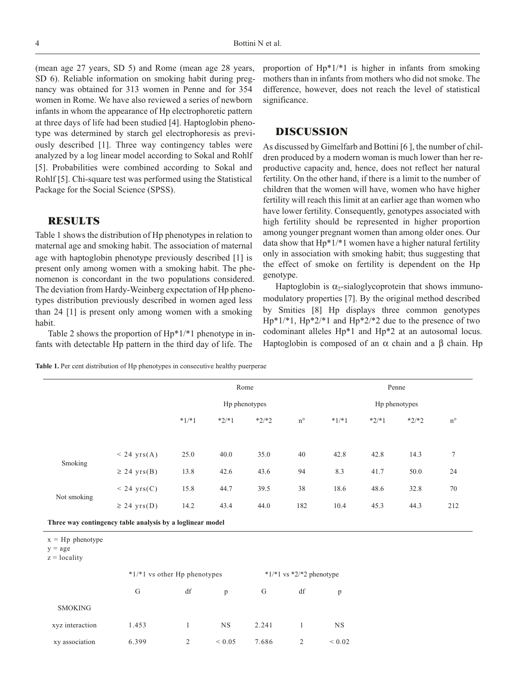(mean age 27 years, SD 5) and Rome (mean age 28 years, SD 6). Reliable information on smoking habit during pregnancy was obtained for 313 women in Penne and for 354 women in Rome. We have also reviewed a series of newborn infants in whom the appearance of Hp electrophoretic pattern at three days of life had been studied [4]. Haptoglobin phenotype was determined by starch gel electrophoresis as previously described [1]. Three way contingency tables were analyzed by a log linear model according to Sokal and Rohlf [5]. Probabilities were combined according to Sokal and Rohlf [5]. Chi-square test was performed using the Statistical Package for the Social Science (SPSS).

#### RESULTS

Table 1 shows the distribution of Hp phenotypes in relation to maternal age and smoking habit. The association of maternal age with haptoglobin phenotype previously described [1] is present only among women with a smoking habit. The phenomenon is concordant in the two populations considered. The deviation from Hardy-Weinberg expectation of Hp phenotypes distribution previously described in women aged less than 24 [1] is present only among women with a smoking habit.

Table 2 shows the proportion of Hp\*1/\*1 phenotype in infants with detectable Hp pattern in the third day of life. The

proportion of Hp\*1/\*1 is higher in infants from smoking mothers than in infants from mothers who did not smoke. The difference, however, does not reach the level of statistical significance.

### **DISCUSSION**

As discussed by Gimelfarb and Bottini [6 ], the number of children produced by a modern woman is much lower than her reproductive capacity and, hence, does not reflect her natural fertility. On the other hand, if there is a limit to the number of children that the women will have, women who have higher fertility will reach this limit at an earlier age than women who have lower fertility. Consequently, genotypes associated with high fertility should be represented in higher proportion among younger pregnant women than among older ones. Our data show that  $Hp*1/*1$  women have a higher natural fertility only in association with smoking habit; thus suggesting that the effect of smoke on fertility is dependent on the Hp genotype.

Haptoglobin is  $\alpha_2$ -sialoglycoprotein that shows immunomodulatory properties [7]. By the original method described by Smities [8] Hp displays three common genotypes  $Hp*1/*1$ ,  $Hp*2/*1$  and  $Hp*2/*2$  due to the presence of two codominant alleles Hp\*1 and Hp\*2 at an autosomal locus. Haptoglobin is composed of an  $\alpha$  chain and a β chain. Hp

|  |  |  |  | Table 1. Per cent distribution of Hp phenotypes in consecutive healthy puerperae |  |  |  |  |
|--|--|--|--|----------------------------------------------------------------------------------|--|--|--|--|
|--|--|--|--|----------------------------------------------------------------------------------|--|--|--|--|

|                                                           |                       | Rome          |         |         |             | Penne         |         |         |             |
|-----------------------------------------------------------|-----------------------|---------------|---------|---------|-------------|---------------|---------|---------|-------------|
|                                                           |                       | Hp phenotypes |         |         |             | Hp phenotypes |         |         |             |
|                                                           |                       | $*1/*1$       | $*2/*1$ | $*2/*2$ | $n^{\circ}$ | $*1/*1$       | $*2/*1$ | $*2/*2$ | $n^{\circ}$ |
|                                                           |                       |               |         |         |             |               |         |         |             |
| Smoking                                                   | $< 24 \text{ yrs}(A)$ | 25.0          | 40.0    | 35.0    | 40          | 42.8          | 42.8    | 14.3    | 7           |
|                                                           | $\geq$ 24 yrs(B)      | 13.8          | 42.6    | 43.6    | 94          | 8.3           | 41.7    | 50.0    | 24          |
| Not smoking                                               | $< 24 \text{ yrs}(C)$ | 15.8          | 44.7    | 39.5    | 38          | 18.6          | 48.6    | 32.8    | 70          |
|                                                           | $\geq$ 24 yrs(D)      | 14.2          | 43.4    | 44.0    | 182         | 10.4          | 45.3    | 44.3    | 212         |
| Three way contingency table analysis by a loglinear model |                       |               |         |         |             |               |         |         |             |

 $x = Hp$  phenotype

 $y = age$ 

 $z =$ locality

|                 |       | $*1/*1$ vs other Hp phenotypes | * $1/*1$ vs *2/*2 phenotype |       |    |            |
|-----------------|-------|--------------------------------|-----------------------------|-------|----|------------|
|                 | G     | df                             | p                           | G     | df | p          |
| <b>SMOKING</b>  |       |                                |                             |       |    |            |
| xyz interaction | 1.453 |                                | <b>NS</b>                   | 2.241 |    | NS         |
| xy association  | 6.399 | 2                              | ${}_{0.05}$                 | 7.686 |    | ${}< 0.02$ |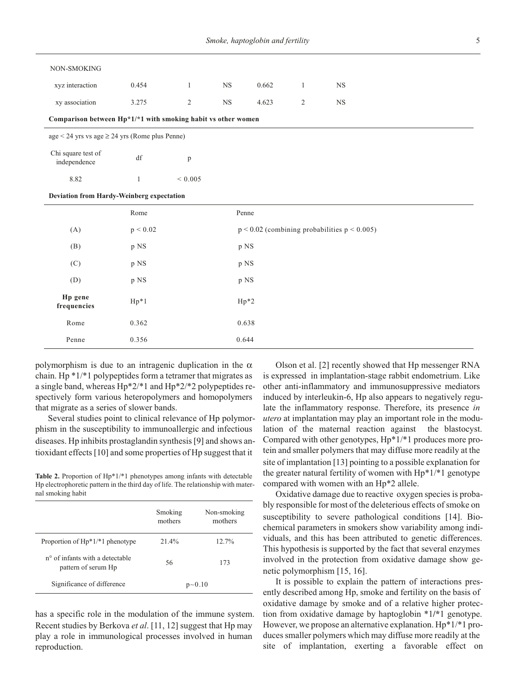| NON-SMOKING                                           |                                                              |              |             |        |                |                                                   |  |  |  |
|-------------------------------------------------------|--------------------------------------------------------------|--------------|-------------|--------|----------------|---------------------------------------------------|--|--|--|
| xyz interaction                                       | 0.454                                                        | $\mathbf{1}$ | $_{\rm NS}$ | 0.662  | 1              | NS                                                |  |  |  |
| xy association                                        | 3.275                                                        | $\sqrt{2}$   | $_{\rm NS}$ | 4.623  | $\overline{2}$ | $_{\rm NS}$                                       |  |  |  |
|                                                       | Comparison between Hp*1/*1 with smoking habit vs other women |              |             |        |                |                                                   |  |  |  |
| $age < 24$ yrs vs age $\geq$ 24 yrs (Rome plus Penne) |                                                              |              |             |        |                |                                                   |  |  |  |
| Chi square test of<br>independence                    | $\mathrm{d}\mathbf{f}$                                       | p            |             |        |                |                                                   |  |  |  |
| 8.82                                                  | $\mathbf{1}$                                                 | ${}< 0.005$  |             |        |                |                                                   |  |  |  |
| Deviation from Hardy-Weinberg expectation             |                                                              |              |             |        |                |                                                   |  |  |  |
|                                                       | Rome                                                         |              |             | Penne  |                |                                                   |  |  |  |
| (A)                                                   | p < 0.02                                                     |              |             |        |                | $p < 0.02$ (combining probabilities $p < 0.005$ ) |  |  |  |
| (B)                                                   | p NS                                                         |              |             | p NS   |                |                                                   |  |  |  |
| (C)                                                   | p NS                                                         |              |             | p NS   |                |                                                   |  |  |  |
| (D)                                                   | p NS                                                         |              |             | p NS   |                |                                                   |  |  |  |
| Hp gene<br>frequencies                                | $Hp*1$                                                       |              |             | $Hp*2$ |                |                                                   |  |  |  |
| Rome                                                  | 0.362                                                        |              |             | 0.638  |                |                                                   |  |  |  |
| Penne                                                 | 0.356                                                        |              |             | 0.644  |                |                                                   |  |  |  |

polymorphism is due to an intragenic duplication in the  $\alpha$ chain. Hp  $*1/*1$  polypeptides form a tetramer that migrates as a single band, whereas Hp\*2/\*1 and Hp\*2/\*2 polypeptides respectively form various heteropolymers and homopolymers that migrate as a series of slower bands.

Several studies point to clinical relevance of Hp polymorphism in the susceptibility to immunoallergic and infectious diseases. Hp inhibits prostaglandin synthesis[9] and shows antioxidant effects[10] and some properties of Hp suggest that it

**Table 2.** Proportion of Hp\*1/\*1 phenotypes among infants with detectable Hp electrophoretic pattern in the third day of life. The relationship with maternal smoking habit

|                                                                    | Smoking<br>mothers | Non-smoking<br>mothers |
|--------------------------------------------------------------------|--------------------|------------------------|
| Proportion of $Hp^*1/*1$ phenotype                                 | 21.4%              | 12.7%                  |
| n <sup>o</sup> of infants with a detectable<br>pattern of serum Hp | 56                 | 173                    |
| Significance of difference                                         |                    | $p - 0.10$             |

has a specific role in the modulation of the immune system. Recent studies by Berkova *et al*. [11, 12] suggest that Hp may play a role in immunological processes involved in human reproduction.

Olson et al. [2] recently showed that Hp messenger RNA is expressed in implantation-stage rabbit endometrium. Like other anti-inflammatory and immunosuppressive mediators induced by interleukin-6, Hp also appears to negatively regulate the inflammatory response. Therefore, its presence *in utero* at implantation may play an important role in the modulation of the maternal reaction against the blastocyst. Compared with other genotypes, Hp\*1/\*1 produces more protein and smaller polymers that may diffuse more readily at the site of implantation [13] pointing to a possible explanation for the greater natural fertility of women with Hp\*1/\*1 genotype compared with women with an Hp\*2 allele.

Oxidative damage due to reactive oxygen species is probably responsible for most of the deleterious effects of smoke on susceptibility to severe pathological conditions [14]. Biochemical parameters in smokers show variability among individuals, and this has been attributed to genetic differences. This hypothesis is supported by the fact that several enzymes involved in the protection from oxidative damage show genetic polymorphism [15, 16].

It is possible to explain the pattern of interactions presently described among Hp, smoke and fertility on the basis of oxidative damage by smoke and of a relative higher protection from oxidative damage by haptoglobin \*1**/\***1 genotype. However, we propose an alternative explanation. Hp\*1/\*1 produces smaller polymers which may diffuse more readily at the site of implantation, exerting a favorable effect on